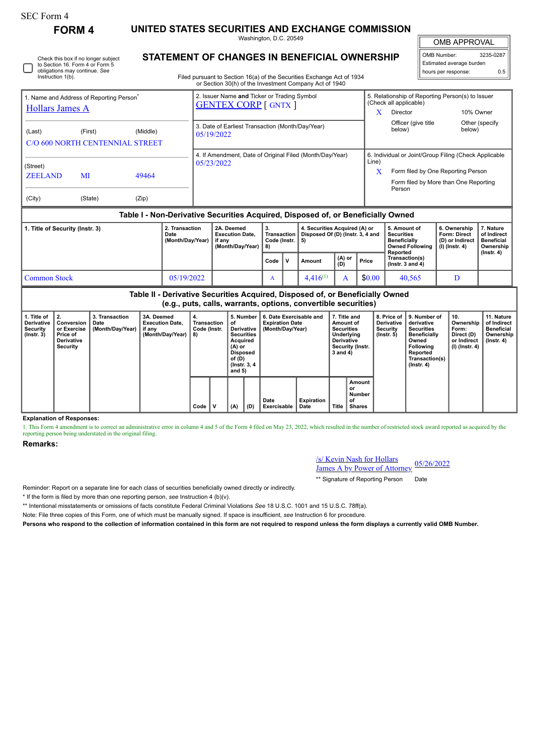Instruction 1(b).

Check this box if no longer subject to Section 16. Form 4 or Form 5 obligations may continue. *See*

**FORM 4 UNITED STATES SECURITIES AND EXCHANGE COMMISSION**

Washington, D.C. 20549

OMB APPROVAL

 $\mathbb{I}$ 

| OMB Number:              | 3235-0287 |  |  |  |  |  |  |
|--------------------------|-----------|--|--|--|--|--|--|
| Estimated average burden |           |  |  |  |  |  |  |
| hours per response:      | ሰ 5       |  |  |  |  |  |  |
|                          |           |  |  |  |  |  |  |

**STATEMENT OF CHANGES IN BENEFICIAL OWNERSHIP** Filed pursuant to Section 16(a) of the Securities Exchange Act of 1934 or Section 30(h) of the Investment Company Act of 1940

| Hollars James A<br>(Middle)<br>(First)<br>C/O 600 NORTH CENTENNIAL STREET | <b>GENTEX CORP</b> [ GNTX ]<br>3. Date of Earliest Transaction (Month/Day/Year)<br>05/19/2022 |                                                                | Director<br>Officer (give title<br>below)       | 10% Owner<br>Other (specify<br>below)                                            |  |  |
|---------------------------------------------------------------------------|-----------------------------------------------------------------------------------------------|----------------------------------------------------------------|-------------------------------------------------|----------------------------------------------------------------------------------|--|--|
|                                                                           |                                                                                               |                                                                |                                                 |                                                                                  |  |  |
|                                                                           |                                                                                               |                                                                |                                                 |                                                                                  |  |  |
|                                                                           | 4. If Amendment, Date of Original Filed (Month/Day/Year)                                      | 6. Individual or Joint/Group Filing (Check Applicable<br>Line) |                                                 |                                                                                  |  |  |
|                                                                           |                                                                                               |                                                                | Form filed by One Reporting Person              |                                                                                  |  |  |
|                                                                           |                                                                                               |                                                                | Form filed by More than One Reporting<br>Person |                                                                                  |  |  |
| (Zip)<br>(State)                                                          |                                                                                               |                                                                |                                                 |                                                                                  |  |  |
| MI                                                                        | 49464                                                                                         | 05/23/2022                                                     |                                                 | Table I - Non-Derivative Securities Acquired, Disposed of, or Beneficially Owned |  |  |

| 1. Title of Security (Instr. 3) | 2. Transaction<br>Date<br>(Month/Day/Year) | 2A. Deemed<br><b>Execution Date.</b><br>if anv<br>(Month/Dav/Year) | з.<br>Code (Instr.   5)<br>-8) |    | 4. Securities Acquired (A) or<br>Transaction   Disposed Of (D) (Instr. 3, 4 and |               |        | 5. Amount of<br><b>Securities</b><br><b>Beneficially</b><br>Owned Following   (I) (Instr. 4) | 6. Ownership<br><b>Form: Direct</b><br>(D) or Indirect | . Nature<br>of Indirect<br>Beneficial<br>Ownership |
|---------------------------------|--------------------------------------------|--------------------------------------------------------------------|--------------------------------|----|---------------------------------------------------------------------------------|---------------|--------|----------------------------------------------------------------------------------------------|--------------------------------------------------------|----------------------------------------------------|
|                                 |                                            |                                                                    | Code                           | ۱v | Amount                                                                          | (A) or<br>(D) | Price  | Reported<br>Transaction(s)<br>( $lnstr.$ 3 and 4)                                            |                                                        | $($ lnstr. 4 $)$                                   |
| Common Stock                    | 05/19/2022                                 |                                                                    | $\Lambda$                      |    | $4.416^{(1)}$                                                                   |               | \$0.00 | 40,565                                                                                       |                                                        |                                                    |

**Table II - Derivative Securities Acquired, Disposed of, or Beneficially Owned (e.g., puts, calls, warrants, options, convertible securities)**

|                                                                  |                                                                              |                                                     | .                                                        |                                         |   |                                                                                                                                            |     |                                                                       |                    |                                                                                                                   |                                                      |                                                                  |                                                                                                                                                       |                                                                          |                                                                    |
|------------------------------------------------------------------|------------------------------------------------------------------------------|-----------------------------------------------------|----------------------------------------------------------|-----------------------------------------|---|--------------------------------------------------------------------------------------------------------------------------------------------|-----|-----------------------------------------------------------------------|--------------------|-------------------------------------------------------------------------------------------------------------------|------------------------------------------------------|------------------------------------------------------------------|-------------------------------------------------------------------------------------------------------------------------------------------------------|--------------------------------------------------------------------------|--------------------------------------------------------------------|
| 1. Title of<br>Derivative<br><b>Security</b><br>$($ lnstr. 3 $)$ | 2.<br>Conversion<br>or Exercise<br>Price of<br><b>Derivative</b><br>Security | 3. Transaction<br>Date<br>(Month/Day/Year)   if any | 3A. Deemed<br><b>Execution Date,</b><br>(Month/Day/Year) | 4.<br>Transaction<br>Code (Instr.<br>8) |   | 5. Number<br>of<br>Derivative<br><b>Securities</b><br>Acquired<br>(A) or<br><b>Disposed</b><br>of (D)<br><b>' (Instr. 3, 4</b><br>and $5)$ |     | 6. Date Exercisable and<br><b>Expiration Date</b><br>(Month/Day/Year) |                    | 7. Title and<br>Amount of<br><b>Securities</b><br>Underlying<br><b>Derivative</b><br>Security (Instr.<br>3 and 4) |                                                      | 8. Price of<br><b>Derivative</b><br>Security<br>$($ lnstr. 5 $)$ | 9. Number of<br>derivative<br><b>Securities</b><br><b>Beneficially</b><br>Owned<br><b>Following</b><br>Reported<br>Transaction(s)<br>$($ lnstr. 4 $)$ | 10.<br>Ownership<br>Form:<br>Direct (D)<br>or Indirect<br>(I) (Instr. 4) | 11. Nature<br>of Indirect<br>Beneficial<br>Ownership<br>(Instr. 4) |
|                                                                  |                                                                              |                                                     |                                                          | Code                                    | v | (A)                                                                                                                                        | (D) | Date<br>Exercisable                                                   | Expiration<br>Date | <b>Title</b>                                                                                                      | Amount<br>or<br><b>Number</b><br>οf<br><b>Shares</b> |                                                                  |                                                                                                                                                       |                                                                          |                                                                    |

**Explanation of Responses:**

1. This Form 4 amendment is to correct an administrative error in column 4 and 5 of the Form 4 filed on May 23, 2022, which resulted in the number of restricted stock award reported as acquired by the reporting person being understated in the original filing.

## **Remarks:**

/s/ Kevin Nash for Hollars **James A by Power of Attorney** 05/26/2022

\*\* Signature of Reporting Person Date

Reminder: Report on a separate line for each class of securities beneficially owned directly or indirectly.

\* If the form is filed by more than one reporting person, *see* Instruction 4 (b)(v).

\*\* Intentional misstatements or omissions of facts constitute Federal Criminal Violations *See* 18 U.S.C. 1001 and 15 U.S.C. 78ff(a).

Note: File three copies of this Form, one of which must be manually signed. If space is insufficient, *see* Instruction 6 for procedure.

**Persons who respond to the collection of information contained in this form are not required to respond unless the form displays a currently valid OMB Number.**